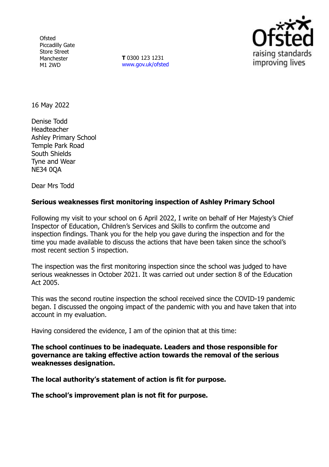**Ofsted** Piccadilly Gate Store Street Manchester M1 2WD

**T** 0300 123 1231 [www.gov.uk/ofsted](http://www.gov.uk/ofsted)



16 May 2022

Denise Todd Headteacher Ashley Primary School Temple Park Road South Shields Tyne and Wear NE34 0QA

Dear Mrs Todd

# **Serious weaknesses first monitoring inspection of Ashley Primary School**

Following my visit to your school on 6 April 2022, I write on behalf of Her Majesty's Chief Inspector of Education, Children's Services and Skills to confirm the outcome and inspection findings. Thank you for the help you gave during the inspection and for the time you made available to discuss the actions that have been taken since the school's most recent section 5 inspection.

The inspection was the first monitoring inspection since the school was judged to have serious weaknesses in October 2021. It was carried out under section 8 of the Education Act 2005.

This was the second routine inspection the school received since the COVID-19 pandemic began. I discussed the ongoing impact of the pandemic with you and have taken that into account in my evaluation.

Having considered the evidence, I am of the opinion that at this time:

**The school continues to be inadequate. Leaders and those responsible for governance are taking effective action towards the removal of the serious weaknesses designation.**

**The local authority's statement of action is fit for purpose.** 

**The school's improvement plan is not fit for purpose.**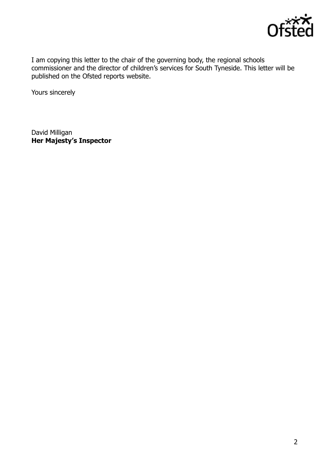

I am copying this letter to the chair of the governing body, the regional schools commissioner and the director of children's services for South Tyneside. This letter will be published on the Ofsted reports website.

Yours sincerely

David Milligan **Her Majesty's Inspector**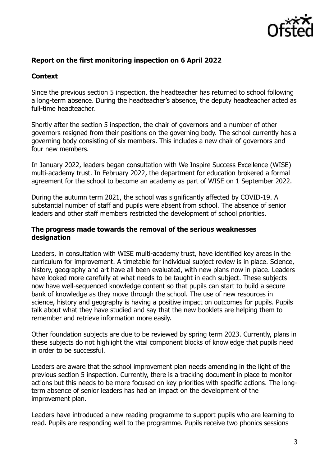

# **Report on the first monitoring inspection on 6 April 2022**

# **Context**

Since the previous section 5 inspection, the headteacher has returned to school following a long-term absence. During the headteacher's absence, the deputy headteacher acted as full-time headteacher.

Shortly after the section 5 inspection, the chair of governors and a number of other governors resigned from their positions on the governing body. The school currently has a governing body consisting of six members. This includes a new chair of governors and four new members.

In January 2022, leaders began consultation with We Inspire Success Excellence (WISE) multi-academy trust. In February 2022, the department for education brokered a formal agreement for the school to become an academy as part of WISE on 1 September 2022.

During the autumn term 2021, the school was significantly affected by COVID-19. A substantial number of staff and pupils were absent from school. The absence of senior leaders and other staff members restricted the development of school priorities.

### **The progress made towards the removal of the serious weaknesses designation**

Leaders, in consultation with WISE multi-academy trust, have identified key areas in the curriculum for improvement. A timetable for individual subject review is in place. Science, history, geography and art have all been evaluated, with new plans now in place. Leaders have looked more carefully at what needs to be taught in each subject. These subjects now have well-sequenced knowledge content so that pupils can start to build a secure bank of knowledge as they move through the school. The use of new resources in science, history and geography is having a positive impact on outcomes for pupils. Pupils talk about what they have studied and say that the new booklets are helping them to remember and retrieve information more easily.

Other foundation subjects are due to be reviewed by spring term 2023. Currently, plans in these subjects do not highlight the vital component blocks of knowledge that pupils need in order to be successful.

Leaders are aware that the school improvement plan needs amending in the light of the previous section 5 inspection. Currently, there is a tracking document in place to monitor actions but this needs to be more focused on key priorities with specific actions. The longterm absence of senior leaders has had an impact on the development of the improvement plan.

Leaders have introduced a new reading programme to support pupils who are learning to read. Pupils are responding well to the programme. Pupils receive two phonics sessions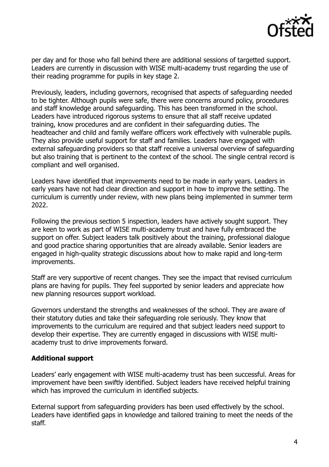

per day and for those who fall behind there are additional sessions of targetted support. Leaders are currently in discussion with WISE multi-academy trust regarding the use of their reading programme for pupils in key stage 2.

Previously, leaders, including governors, recognised that aspects of safeguarding needed to be tighter. Although pupils were safe, there were concerns around policy, procedures and staff knowledge around safeguarding. This has been transformed in the school. Leaders have introduced rigorous systems to ensure that all staff receive updated training, know procedures and are confident in their safeguarding duties. The headteacher and child and family welfare officers work effectively with vulnerable pupils. They also provide useful support for staff and families. Leaders have engaged with external safeguarding providers so that staff receive a universal overview of safeguarding but also training that is pertinent to the context of the school. The single central record is compliant and well organised.

Leaders have identified that improvements need to be made in early years. Leaders in early years have not had clear direction and support in how to improve the setting. The curriculum is currently under review, with new plans being implemented in summer term 2022.

Following the previous section 5 inspection, leaders have actively sought support. They are keen to work as part of WISE multi-academy trust and have fully embraced the support on offer. Subject leaders talk positively about the training, professional dialogue and good practice sharing opportunities that are already available. Senior leaders are engaged in high-quality strategic discussions about how to make rapid and long-term improvements.

Staff are very supportive of recent changes. They see the impact that revised curriculum plans are having for pupils. They feel supported by senior leaders and appreciate how new planning resources support workload.

Governors understand the strengths and weaknesses of the school. They are aware of their statutory duties and take their safeguarding role seriously. They know that improvements to the curriculum are required and that subject leaders need support to develop their expertise. They are currently engaged in discussions with WISE multiacademy trust to drive improvements forward.

### **Additional support**

Leaders' early engagement with WISE multi-academy trust has been successful. Areas for improvement have been swiftly identified. Subject leaders have received helpful training which has improved the curriculum in identified subjects.

External support from safeguarding providers has been used effectively by the school. Leaders have identified gaps in knowledge and tailored training to meet the needs of the staff.